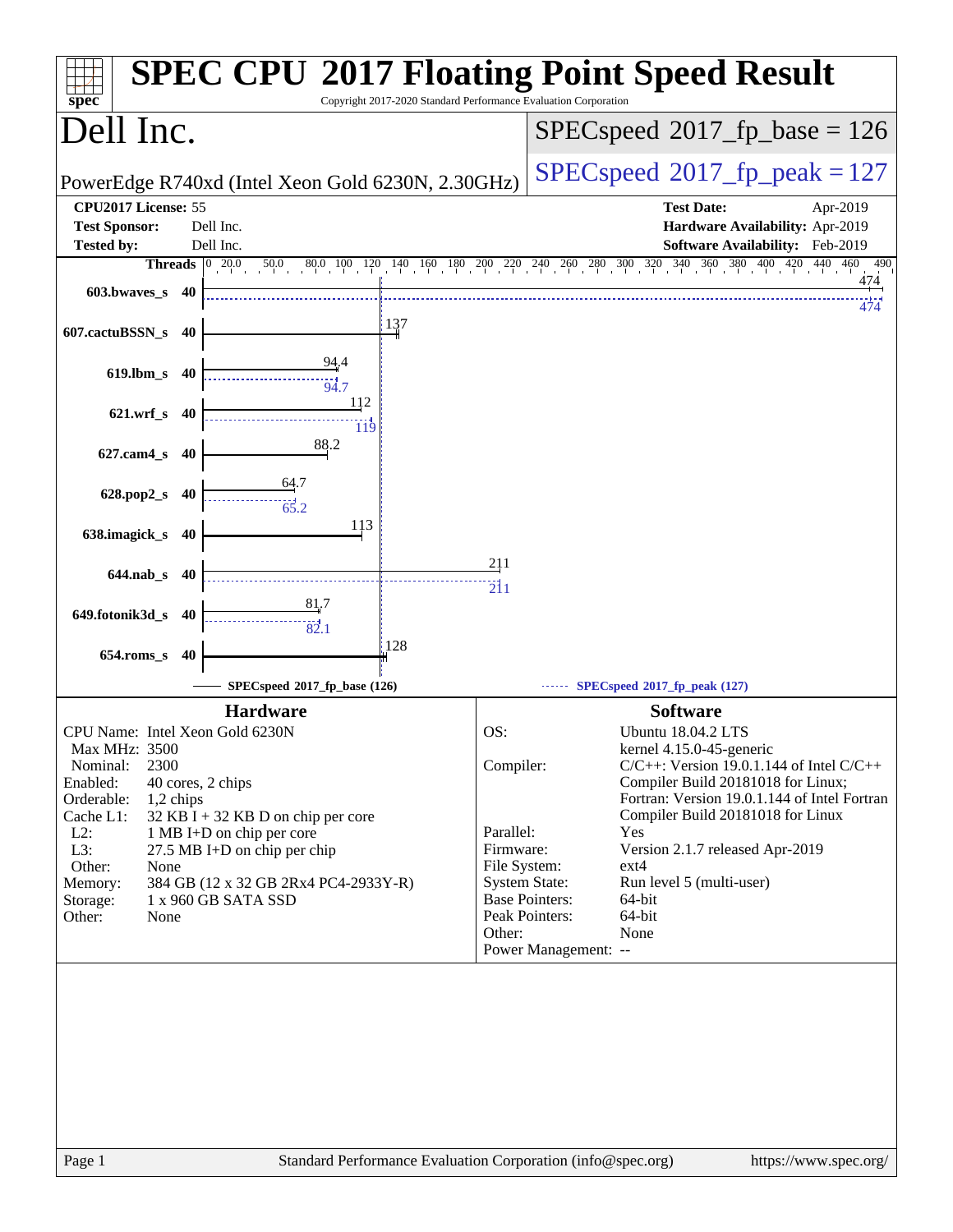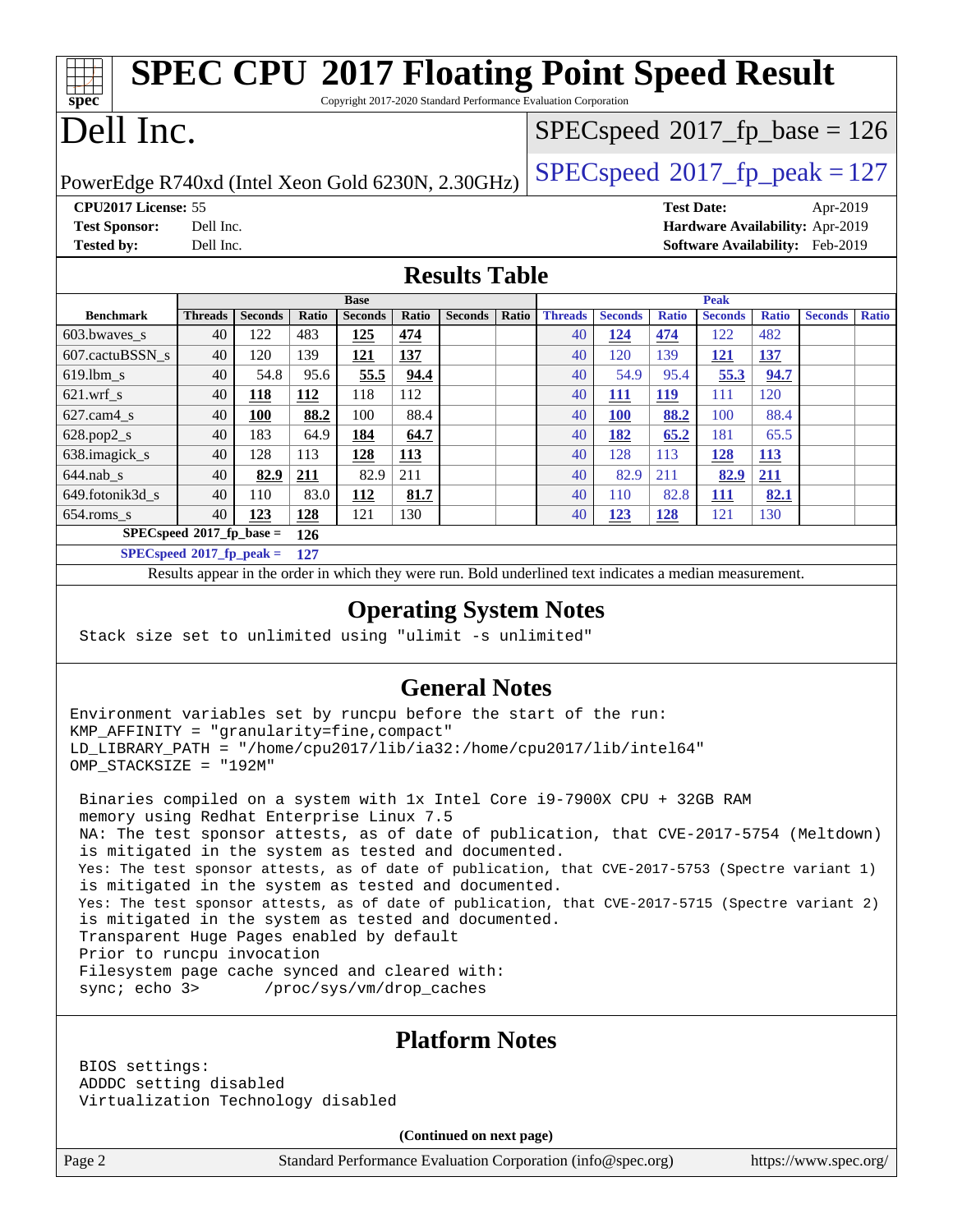| <b>SPEC CPU®2017 Floating Point Speed Result</b><br>$spec*$<br>Copyright 2017-2020 Standard Performance Evaluation Corporation |                |                |              |                |       |                |              |                |                |                   |                |              |                                        |              |
|--------------------------------------------------------------------------------------------------------------------------------|----------------|----------------|--------------|----------------|-------|----------------|--------------|----------------|----------------|-------------------|----------------|--------------|----------------------------------------|--------------|
| Dell Inc.<br>$SPEC speed^{\circ}2017$ fp base = 126                                                                            |                |                |              |                |       |                |              |                |                |                   |                |              |                                        |              |
| $SPEC speed^{\circ}2017$ _fp_peak = 127<br>PowerEdge R740xd (Intel Xeon Gold 6230N, 2.30GHz)                                   |                |                |              |                |       |                |              |                |                |                   |                |              |                                        |              |
| CPU2017 License: 55                                                                                                            |                |                |              |                |       |                |              |                |                | <b>Test Date:</b> |                |              | Apr-2019                               |              |
| <b>Test Sponsor:</b>                                                                                                           | Dell Inc.      |                |              |                |       |                |              |                |                |                   |                |              | Hardware Availability: Apr-2019        |              |
| <b>Tested by:</b>                                                                                                              | Dell Inc.      |                |              |                |       |                |              |                |                |                   |                |              | <b>Software Availability:</b> Feb-2019 |              |
| <b>Results Table</b>                                                                                                           |                |                |              |                |       |                |              |                |                |                   |                |              |                                        |              |
|                                                                                                                                |                |                |              | <b>Base</b>    |       |                |              |                |                |                   | Peak           |              |                                        |              |
| <b>Benchmark</b>                                                                                                               | <b>Threads</b> | <b>Seconds</b> | <b>Ratio</b> | <b>Seconds</b> | Ratio | <b>Seconds</b> | <b>Ratio</b> | <b>Threads</b> | <b>Seconds</b> | <b>Ratio</b>      | <b>Seconds</b> | <b>Ratio</b> | <b>Seconds</b>                         | <b>Ratio</b> |
| 603.bwaves_s                                                                                                                   | 40             | 122            | 483          | 125            | 474   |                |              | 40             | 124            | 474               | 122            | 482          |                                        |              |
| 607.cactuBSSN s                                                                                                                | 40             | 120            | 139          | 121            | 137   |                |              | 40             | 120            | 139               | 121            | 137          |                                        |              |
| 619.lbm s                                                                                                                      | 40             | 54.8           | 95.6         | 55.5           | 94.4  |                |              | 40             | 54.9           | 95.4              | 55.3           | 94.7         |                                        |              |
| $621.wrf$ s                                                                                                                    | 40             | 118            | 112          | 118            | 112   |                |              | 40             | 111            | <b>119</b>        | 111            | 120          |                                        |              |
| $627.cam4$ s                                                                                                                   | 40             | <b>100</b>     | 88.2         | 100            | 88.4  |                |              | 40             | 100            | 88.2              | 100            | 88.4         |                                        |              |
| $628.pop2_s$                                                                                                                   | 40             | 183            | 64.9         | 184            | 64.7  |                |              | 40             | 182            | 65.2              | 181            | 65.5         |                                        |              |
| 638.imagick_s                                                                                                                  | 40             | 128            | 113          | 128            | 113   |                |              | 40             | 128            | 113               | 128            | <b>113</b>   |                                        |              |
| $644$ .nab s                                                                                                                   | 40             | 82.9           | 211          | 82.9           | 211   |                |              | 40             | 82.9           | 211               | 82.9           | 211          |                                        |              |
| 649.fotonik3d_s                                                                                                                | 40             | 110            | 83.0         | 112            | 81.7  |                |              | 40             | 110            | 82.8              | 111            | 82.1         |                                        |              |
| 654.roms_s                                                                                                                     | 40             | 123            | 128          | 121            | 130   |                |              | 40             | 123            | 128               | 121            | 130          |                                        |              |
| $SPECspeed*2017_fp\_base =$<br>126                                                                                             |                |                |              |                |       |                |              |                |                |                   |                |              |                                        |              |
| $SPECspeed*2017_fp\_peak =$<br>127                                                                                             |                |                |              |                |       |                |              |                |                |                   |                |              |                                        |              |
| Results appear in the order in which they were run. Bold underlined text indicates a median measurement.                       |                |                |              |                |       |                |              |                |                |                   |                |              |                                        |              |
| <b>Operating System Notes</b>                                                                                                  |                |                |              |                |       |                |              |                |                |                   |                |              |                                        |              |

Stack size set to unlimited using "ulimit -s unlimited"

#### **[General Notes](http://www.spec.org/auto/cpu2017/Docs/result-fields.html#GeneralNotes)**

Environment variables set by runcpu before the start of the run: KMP\_AFFINITY = "granularity=fine,compact" LD\_LIBRARY\_PATH = "/home/cpu2017/lib/ia32:/home/cpu2017/lib/intel64" OMP\_STACKSIZE = "192M"

 Binaries compiled on a system with 1x Intel Core i9-7900X CPU + 32GB RAM memory using Redhat Enterprise Linux 7.5 NA: The test sponsor attests, as of date of publication, that CVE-2017-5754 (Meltdown) is mitigated in the system as tested and documented. Yes: The test sponsor attests, as of date of publication, that CVE-2017-5753 (Spectre variant 1) is mitigated in the system as tested and documented. Yes: The test sponsor attests, as of date of publication, that CVE-2017-5715 (Spectre variant 2) is mitigated in the system as tested and documented. Transparent Huge Pages enabled by default Prior to runcpu invocation Filesystem page cache synced and cleared with: sync; echo 3> /proc/sys/vm/drop\_caches

#### **[Platform Notes](http://www.spec.org/auto/cpu2017/Docs/result-fields.html#PlatformNotes)**

 BIOS settings: ADDDC setting disabled Virtualization Technology disabled

**(Continued on next page)**

Page 2 Standard Performance Evaluation Corporation [\(info@spec.org\)](mailto:info@spec.org) <https://www.spec.org/>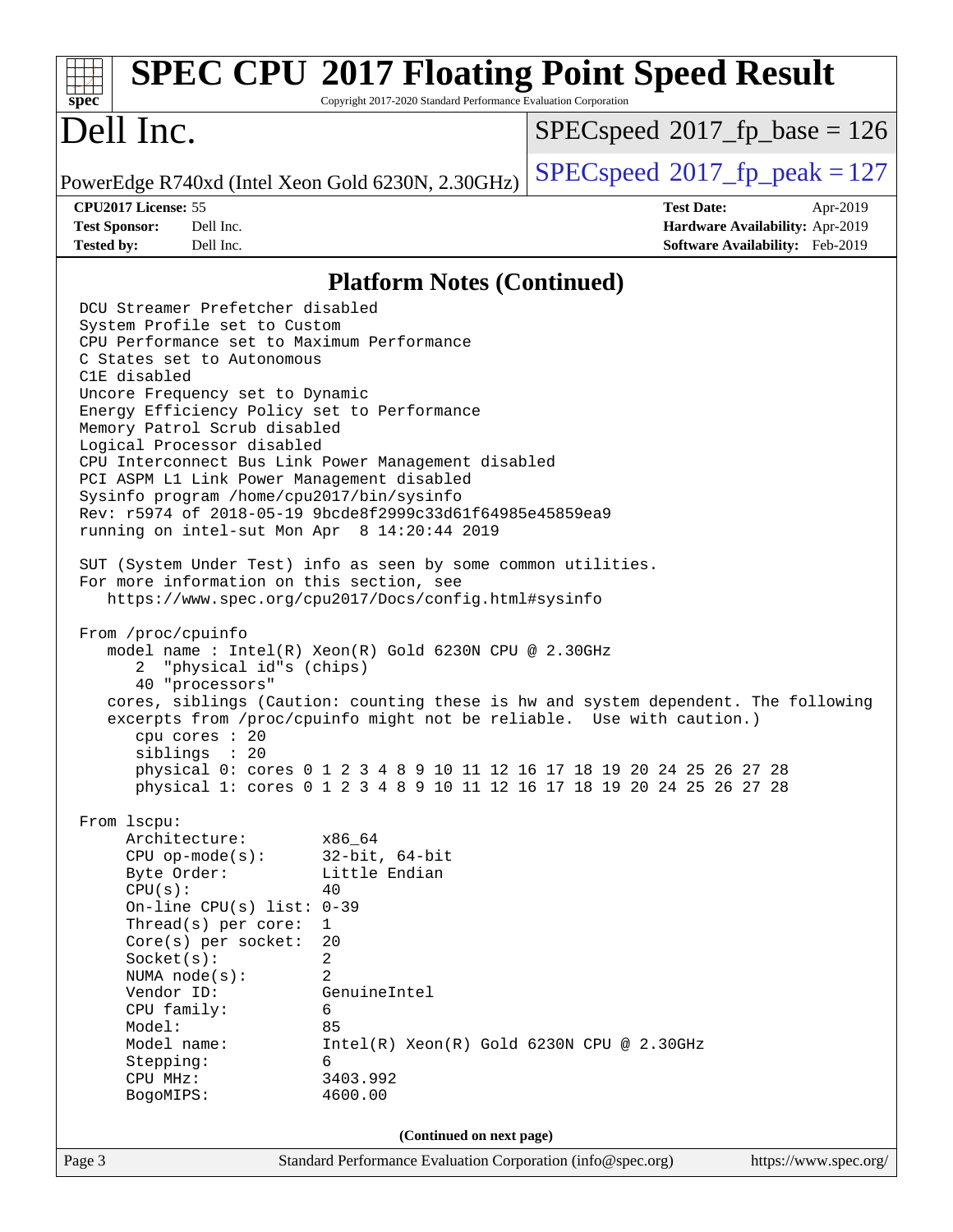| $spec^*$                                                                                                                                                                                                                                                                                  | Copyright 2017-2020 Standard Performance Evaluation Corporation                                                                                                                  | <b>SPEC CPU®2017 Floating Point Speed Result</b>                                                                                                                                                                                                                                                                |
|-------------------------------------------------------------------------------------------------------------------------------------------------------------------------------------------------------------------------------------------------------------------------------------------|----------------------------------------------------------------------------------------------------------------------------------------------------------------------------------|-----------------------------------------------------------------------------------------------------------------------------------------------------------------------------------------------------------------------------------------------------------------------------------------------------------------|
| Dell Inc.                                                                                                                                                                                                                                                                                 |                                                                                                                                                                                  | $SPEC speed^{\circ}2017$ fp base = 126                                                                                                                                                                                                                                                                          |
| PowerEdge R740xd (Intel Xeon Gold 6230N, 2.30GHz)                                                                                                                                                                                                                                         |                                                                                                                                                                                  | $SPEC speed^{\circ}2017$ fp peak = 127                                                                                                                                                                                                                                                                          |
| CPU2017 License: 55                                                                                                                                                                                                                                                                       |                                                                                                                                                                                  | <b>Test Date:</b><br>Apr-2019                                                                                                                                                                                                                                                                                   |
| <b>Test Sponsor:</b><br>Dell Inc.                                                                                                                                                                                                                                                         |                                                                                                                                                                                  | Hardware Availability: Apr-2019                                                                                                                                                                                                                                                                                 |
| Dell Inc.<br><b>Tested by:</b>                                                                                                                                                                                                                                                            |                                                                                                                                                                                  | Software Availability: Feb-2019                                                                                                                                                                                                                                                                                 |
|                                                                                                                                                                                                                                                                                           | <b>Platform Notes (Continued)</b>                                                                                                                                                |                                                                                                                                                                                                                                                                                                                 |
| DCU Streamer Prefetcher disabled                                                                                                                                                                                                                                                          |                                                                                                                                                                                  |                                                                                                                                                                                                                                                                                                                 |
| System Profile set to Custom<br>CPU Performance set to Maximum Performance<br>C States set to Autonomous                                                                                                                                                                                  |                                                                                                                                                                                  |                                                                                                                                                                                                                                                                                                                 |
| C1E disabled<br>Uncore Frequency set to Dynamic                                                                                                                                                                                                                                           |                                                                                                                                                                                  |                                                                                                                                                                                                                                                                                                                 |
| Energy Efficiency Policy set to Performance<br>Memory Patrol Scrub disabled<br>Logical Processor disabled                                                                                                                                                                                 |                                                                                                                                                                                  |                                                                                                                                                                                                                                                                                                                 |
| CPU Interconnect Bus Link Power Management disabled<br>PCI ASPM L1 Link Power Management disabled                                                                                                                                                                                         |                                                                                                                                                                                  |                                                                                                                                                                                                                                                                                                                 |
| Sysinfo program /home/cpu2017/bin/sysinfo<br>Rev: r5974 of 2018-05-19 9bcde8f2999c33d61f64985e45859ea9<br>running on intel-sut Mon Apr 8 14:20:44 2019                                                                                                                                    |                                                                                                                                                                                  |                                                                                                                                                                                                                                                                                                                 |
| SUT (System Under Test) info as seen by some common utilities.<br>For more information on this section, see                                                                                                                                                                               | https://www.spec.org/cpu2017/Docs/config.html#sysinfo                                                                                                                            |                                                                                                                                                                                                                                                                                                                 |
| From /proc/cpuinfo<br>"physical id"s (chips)<br>2<br>40 "processors"<br>cpu cores : 20<br>siblings : 20                                                                                                                                                                                   | model name : Intel(R) Xeon(R) Gold 6230N CPU @ 2.30GHz                                                                                                                           | cores, siblings (Caution: counting these is hw and system dependent. The following<br>excerpts from /proc/cpuinfo might not be reliable. Use with caution.)<br>physical 0: cores 0 1 2 3 4 8 9 10 11 12 16 17 18 19 20 24 25 26 27 28<br>physical 1: cores 0 1 2 3 4 8 9 10 11 12 16 17 18 19 20 24 25 26 27 28 |
| From 1scpu:<br>Architecture:<br>$CPU$ op-mode( $s$ ):<br>Byte Order:<br>CPU(s):<br>On-line CPU(s) list: $0-39$<br>Thread(s) per core:<br>$Core(s)$ per socket:<br>Socket(s):<br>NUMA node(s):<br>Vendor ID:<br>CPU family:<br>Model:<br>Model name:<br>Stepping:<br>CPU MHz:<br>BogoMIPS: | x86 64<br>$32$ -bit, $64$ -bit<br>Little Endian<br>40<br>1<br>20<br>2<br>2<br>GenuineIntel<br>6<br>85<br>$Intel(R) Xeon(R) Gold 6230N CPU @ 2.30GHz$<br>6<br>3403.992<br>4600.00 |                                                                                                                                                                                                                                                                                                                 |
|                                                                                                                                                                                                                                                                                           | (Continued on next page)                                                                                                                                                         |                                                                                                                                                                                                                                                                                                                 |
| Page 3                                                                                                                                                                                                                                                                                    | Standard Performance Evaluation Corporation (info@spec.org)                                                                                                                      | https://www.spec.org/                                                                                                                                                                                                                                                                                           |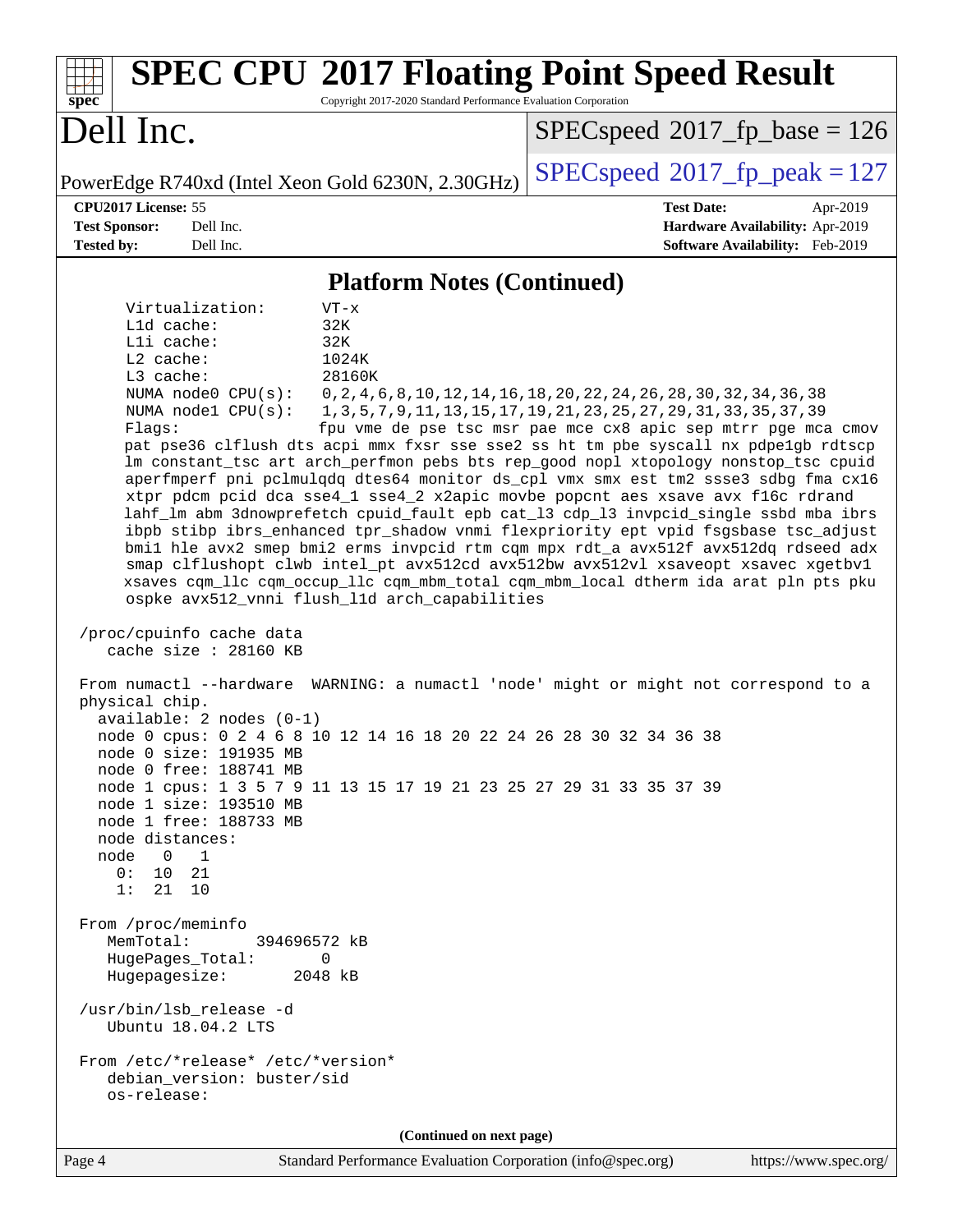| <b>SPEC CPU®2017 Floating Point Speed Result</b><br>Copyright 2017-2020 Standard Performance Evaluation Corporation<br>spec                                                                                                                                                                                                                                                                                                                                                                                                                                                                                                                                                                                                                                                                                                                                                                                                                                                                                                                                                                                                                                                                                                                                                                                                                                                                                                                                                                                                                                                                                                                                                                                                                                                                            |                                                                                                                                                                                                                         |  |  |  |  |
|--------------------------------------------------------------------------------------------------------------------------------------------------------------------------------------------------------------------------------------------------------------------------------------------------------------------------------------------------------------------------------------------------------------------------------------------------------------------------------------------------------------------------------------------------------------------------------------------------------------------------------------------------------------------------------------------------------------------------------------------------------------------------------------------------------------------------------------------------------------------------------------------------------------------------------------------------------------------------------------------------------------------------------------------------------------------------------------------------------------------------------------------------------------------------------------------------------------------------------------------------------------------------------------------------------------------------------------------------------------------------------------------------------------------------------------------------------------------------------------------------------------------------------------------------------------------------------------------------------------------------------------------------------------------------------------------------------------------------------------------------------------------------------------------------------|-------------------------------------------------------------------------------------------------------------------------------------------------------------------------------------------------------------------------|--|--|--|--|
| Dell Inc.                                                                                                                                                                                                                                                                                                                                                                                                                                                                                                                                                                                                                                                                                                                                                                                                                                                                                                                                                                                                                                                                                                                                                                                                                                                                                                                                                                                                                                                                                                                                                                                                                                                                                                                                                                                              | $SPEC speed^{\circ}2017\_fp\_base = 126$                                                                                                                                                                                |  |  |  |  |
| PowerEdge R740xd (Intel Xeon Gold 6230N, 2.30GHz)                                                                                                                                                                                                                                                                                                                                                                                                                                                                                                                                                                                                                                                                                                                                                                                                                                                                                                                                                                                                                                                                                                                                                                                                                                                                                                                                                                                                                                                                                                                                                                                                                                                                                                                                                      | $SPEC speed^{\circ}2017$ fp peak = 127                                                                                                                                                                                  |  |  |  |  |
| CPU2017 License: 55<br><b>Test Sponsor:</b><br>Dell Inc.<br><b>Tested by:</b><br>Dell Inc.                                                                                                                                                                                                                                                                                                                                                                                                                                                                                                                                                                                                                                                                                                                                                                                                                                                                                                                                                                                                                                                                                                                                                                                                                                                                                                                                                                                                                                                                                                                                                                                                                                                                                                             | <b>Test Date:</b><br>Apr-2019<br>Hardware Availability: Apr-2019<br>Software Availability: Feb-2019                                                                                                                     |  |  |  |  |
| <b>Platform Notes (Continued)</b>                                                                                                                                                                                                                                                                                                                                                                                                                                                                                                                                                                                                                                                                                                                                                                                                                                                                                                                                                                                                                                                                                                                                                                                                                                                                                                                                                                                                                                                                                                                                                                                                                                                                                                                                                                      |                                                                                                                                                                                                                         |  |  |  |  |
| Virtualization:<br>$VT - x$<br>L1d cache:<br>32K<br>Lli cache:<br>32K<br>L2 cache:<br>1024K<br>28160K<br>L3 cache:<br>NUMA node0 CPU(s):<br>NUMA $node1$ $CPU(s):$<br>Flags:<br>pat pse36 clflush dts acpi mmx fxsr sse sse2 ss ht tm pbe syscall nx pdpe1gb rdtscp<br>lm constant_tsc art arch_perfmon pebs bts rep_good nopl xtopology nonstop_tsc cpuid<br>aperfmperf pni pclmulqdq dtes64 monitor ds_cpl vmx smx est tm2 ssse3 sdbg fma cx16<br>xtpr pdcm pcid dca sse4_1 sse4_2 x2apic movbe popcnt aes xsave avx f16c rdrand<br>lahf_lm abm 3dnowprefetch cpuid_fault epb cat_13 cdp_13 invpcid_single ssbd mba ibrs<br>ibpb stibp ibrs_enhanced tpr_shadow vnmi flexpriority ept vpid fsgsbase tsc_adjust<br>bmil hle avx2 smep bmi2 erms invpcid rtm cqm mpx rdt_a avx512f avx512dq rdseed adx<br>smap clflushopt clwb intel_pt avx512cd avx512bw avx512vl xsaveopt xsavec xgetbvl<br>xsaves cqm_llc cqm_occup_llc cqm_mbm_total cqm_mbm_local dtherm ida arat pln pts pku<br>ospke avx512_vnni flush_l1d arch_capabilities<br>/proc/cpuinfo cache data<br>cache size : 28160 KB<br>From numactl --hardware WARNING: a numactl 'node' might or might not correspond to a<br>physical chip.<br>available: $2$ nodes $(0-1)$<br>node 0 cpus: 0 2 4 6 8 10 12 14 16 18 20 22 24 26 28 30 32 34 36 38<br>node 0 size: 191935 MB<br>node 0 free: 188741 MB<br>node 1 cpus: 1 3 5 7 9 11 13 15 17 19 21 23 25 27 29 31 33 35 37 39<br>node 1 size: 193510 MB<br>node 1 free: 188733 MB<br>node distances:<br>node<br>$0 \t 1$<br>0: 10 21<br>1:<br>21 10<br>From /proc/meminfo<br>MemTotal:<br>394696572 kB<br>HugePages_Total:<br>0<br>Hugepagesize:<br>2048 kB<br>/usr/bin/lsb_release -d<br>Ubuntu 18.04.2 LTS<br>From /etc/*release* /etc/*version*<br>debian_version: buster/sid<br>os-release: | 0, 2, 4, 6, 8, 10, 12, 14, 16, 18, 20, 22, 24, 26, 28, 30, 32, 34, 36, 38<br>1, 3, 5, 7, 9, 11, 13, 15, 17, 19, 21, 23, 25, 27, 29, 31, 33, 35, 37, 39<br>fpu vme de pse tsc msr pae mce cx8 apic sep mtrr pge mca cmov |  |  |  |  |
| (Continued on next page)                                                                                                                                                                                                                                                                                                                                                                                                                                                                                                                                                                                                                                                                                                                                                                                                                                                                                                                                                                                                                                                                                                                                                                                                                                                                                                                                                                                                                                                                                                                                                                                                                                                                                                                                                                               |                                                                                                                                                                                                                         |  |  |  |  |
| Standard Performance Evaluation Corporation (info@spec.org)<br>Page 4                                                                                                                                                                                                                                                                                                                                                                                                                                                                                                                                                                                                                                                                                                                                                                                                                                                                                                                                                                                                                                                                                                                                                                                                                                                                                                                                                                                                                                                                                                                                                                                                                                                                                                                                  | https://www.spec.org/                                                                                                                                                                                                   |  |  |  |  |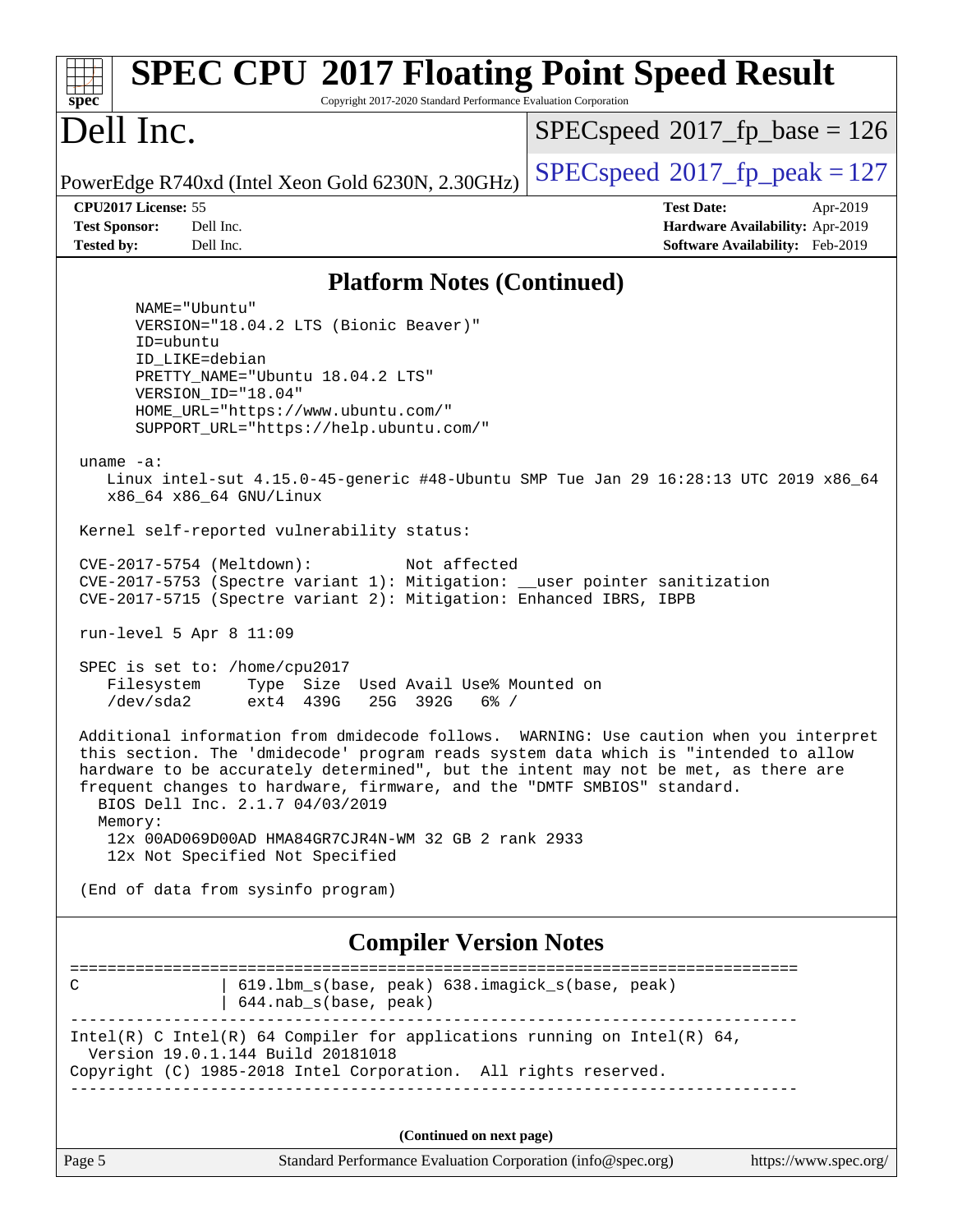| <b>SPEC CPU®2017 Floating Point Speed Result</b><br>$spec^*$<br>Copyright 2017-2020 Standard Performance Evaluation Corporation                                                                                                                                                                                                                                                                                                                                                                                                                                                                                                                                                                                                                                                                                                                                                                                                                                                                                                                                                                                                                                                                                                                                                                                                                                                                                                                                                                                                                      |                                                                                                     |  |  |  |  |
|------------------------------------------------------------------------------------------------------------------------------------------------------------------------------------------------------------------------------------------------------------------------------------------------------------------------------------------------------------------------------------------------------------------------------------------------------------------------------------------------------------------------------------------------------------------------------------------------------------------------------------------------------------------------------------------------------------------------------------------------------------------------------------------------------------------------------------------------------------------------------------------------------------------------------------------------------------------------------------------------------------------------------------------------------------------------------------------------------------------------------------------------------------------------------------------------------------------------------------------------------------------------------------------------------------------------------------------------------------------------------------------------------------------------------------------------------------------------------------------------------------------------------------------------------|-----------------------------------------------------------------------------------------------------|--|--|--|--|
| Dell Inc.                                                                                                                                                                                                                                                                                                                                                                                                                                                                                                                                                                                                                                                                                                                                                                                                                                                                                                                                                                                                                                                                                                                                                                                                                                                                                                                                                                                                                                                                                                                                            | $SPEC speed^{\circ}2017\_fp\_base = 126$                                                            |  |  |  |  |
| PowerEdge R740xd (Intel Xeon Gold 6230N, 2.30GHz)                                                                                                                                                                                                                                                                                                                                                                                                                                                                                                                                                                                                                                                                                                                                                                                                                                                                                                                                                                                                                                                                                                                                                                                                                                                                                                                                                                                                                                                                                                    | $SPEC speed^{\circ}2017$ fp peak = 127                                                              |  |  |  |  |
| CPU2017 License: 55<br>Dell Inc.<br><b>Test Sponsor:</b><br><b>Tested by:</b><br>Dell Inc.                                                                                                                                                                                                                                                                                                                                                                                                                                                                                                                                                                                                                                                                                                                                                                                                                                                                                                                                                                                                                                                                                                                                                                                                                                                                                                                                                                                                                                                           | <b>Test Date:</b><br>Apr-2019<br>Hardware Availability: Apr-2019<br>Software Availability: Feb-2019 |  |  |  |  |
|                                                                                                                                                                                                                                                                                                                                                                                                                                                                                                                                                                                                                                                                                                                                                                                                                                                                                                                                                                                                                                                                                                                                                                                                                                                                                                                                                                                                                                                                                                                                                      |                                                                                                     |  |  |  |  |
| <b>Platform Notes (Continued)</b><br>NAME="Ubuntu"<br>VERSION="18.04.2 LTS (Bionic Beaver)"<br>ID=ubuntu<br>ID_LIKE=debian<br>PRETTY_NAME="Ubuntu 18.04.2 LTS"<br>VERSION ID="18.04"<br>HOME_URL="https://www.ubuntu.com/"<br>SUPPORT_URL="https://help.ubuntu.com/"<br>uname $-a$ :<br>Linux intel-sut 4.15.0-45-generic #48-Ubuntu SMP Tue Jan 29 16:28:13 UTC 2019 x86_64<br>x86 64 x86 64 GNU/Linux<br>Kernel self-reported vulnerability status:<br>CVE-2017-5754 (Meltdown):<br>Not affected<br>CVE-2017-5753 (Spectre variant 1): Mitigation: __user pointer sanitization<br>CVE-2017-5715 (Spectre variant 2): Mitigation: Enhanced IBRS, IBPB<br>run-level 5 Apr 8 11:09<br>SPEC is set to: /home/cpu2017<br>Filesystem<br>Type Size Used Avail Use% Mounted on<br>/dev/sda2<br>ext4 439G<br>25G 392G<br>$6\%$ /<br>Additional information from dmidecode follows.<br>this section. The 'dmidecode' program reads system data which is "intended to allow<br>hardware to be accurately determined", but the intent may not be met, as there are<br>frequent changes to hardware, firmware, and the "DMTF SMBIOS" standard.<br>BIOS Dell Inc. 2.1.7 04/03/2019<br>Memory:<br>12x 00AD069D00AD HMA84GR7CJR4N-WM 32 GB 2 rank 2933<br>12x Not Specified Not Specified<br>(End of data from sysinfo program)<br><b>Compiler Version Notes</b><br>619.1bm_s(base, peak) 638.imagick_s(base, peak)<br>С<br>644.nab_s(base, peak)<br>Intel(R) C Intel(R) 64 Compiler for applications running on Intel(R) 64,<br>Version 19.0.1.144 Build 20181018 | WARNING: Use caution when you interpret<br>======================                                   |  |  |  |  |
| Copyright (C) 1985-2018 Intel Corporation. All rights reserved.                                                                                                                                                                                                                                                                                                                                                                                                                                                                                                                                                                                                                                                                                                                                                                                                                                                                                                                                                                                                                                                                                                                                                                                                                                                                                                                                                                                                                                                                                      |                                                                                                     |  |  |  |  |
| (Continued on next page)                                                                                                                                                                                                                                                                                                                                                                                                                                                                                                                                                                                                                                                                                                                                                                                                                                                                                                                                                                                                                                                                                                                                                                                                                                                                                                                                                                                                                                                                                                                             |                                                                                                     |  |  |  |  |
| Page 5<br>Standard Performance Evaluation Corporation (info@spec.org)                                                                                                                                                                                                                                                                                                                                                                                                                                                                                                                                                                                                                                                                                                                                                                                                                                                                                                                                                                                                                                                                                                                                                                                                                                                                                                                                                                                                                                                                                | https://www.spec.org/                                                                               |  |  |  |  |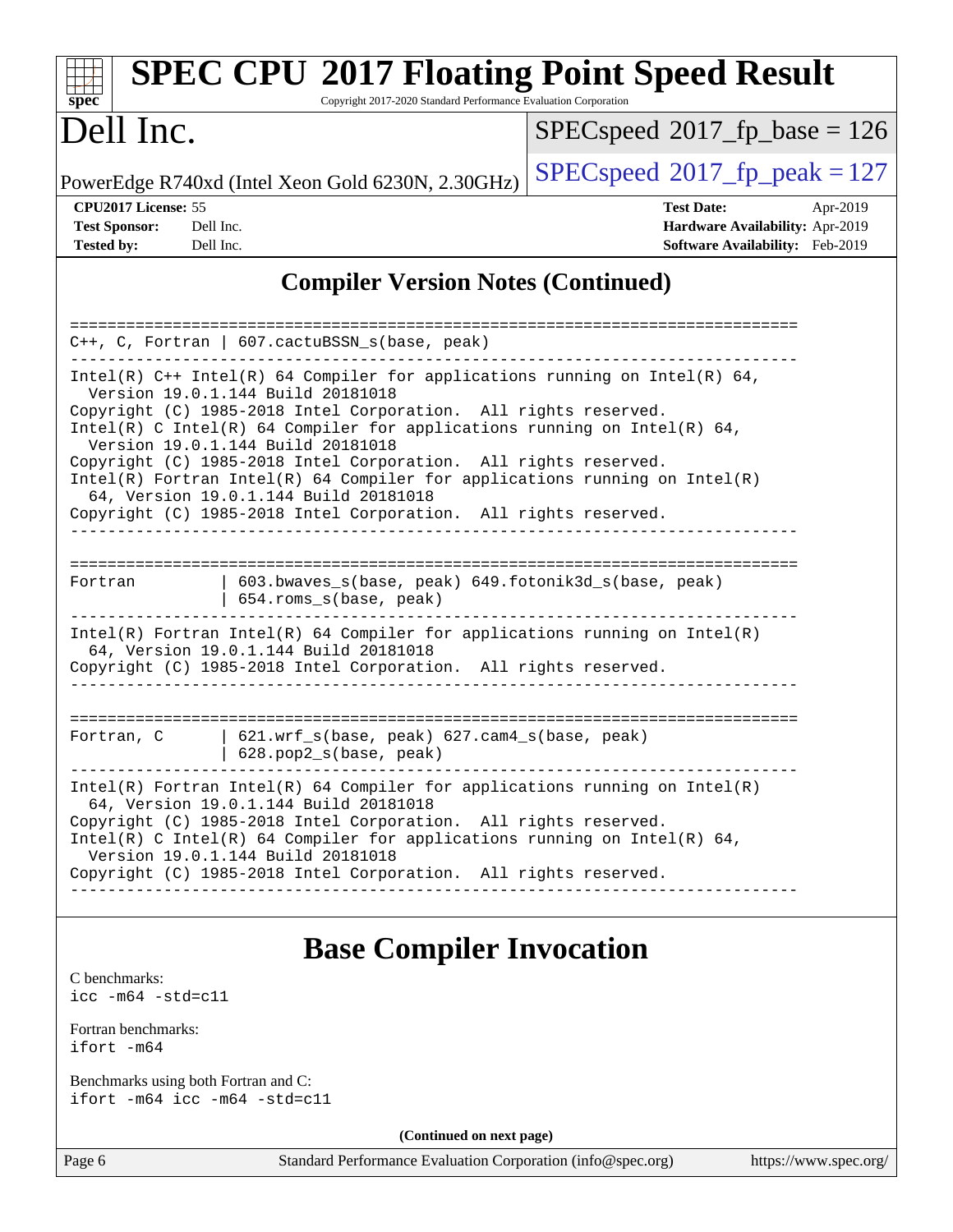| <b>SPEC CPU®2017 Floating Point Speed Result</b><br>Copyright 2017-2020 Standard Performance Evaluation Corporation<br>$spec^*$                                                                                                                                                                                                                                                                                                                                                                                                                                      |                                                                                                     |
|----------------------------------------------------------------------------------------------------------------------------------------------------------------------------------------------------------------------------------------------------------------------------------------------------------------------------------------------------------------------------------------------------------------------------------------------------------------------------------------------------------------------------------------------------------------------|-----------------------------------------------------------------------------------------------------|
| Dell Inc.                                                                                                                                                                                                                                                                                                                                                                                                                                                                                                                                                            | $SPEC speed^{\circ}2017$ fp base = 126                                                              |
| PowerEdge R740xd (Intel Xeon Gold 6230N, 2.30GHz)                                                                                                                                                                                                                                                                                                                                                                                                                                                                                                                    | $SPEC speed^{\circ}2017$ fp peak = 127                                                              |
| CPU2017 License: 55<br><b>Test Sponsor:</b><br>Dell Inc.<br>Tested by:<br>Dell Inc.                                                                                                                                                                                                                                                                                                                                                                                                                                                                                  | <b>Test Date:</b><br>Apr-2019<br>Hardware Availability: Apr-2019<br>Software Availability: Feb-2019 |
| <b>Compiler Version Notes (Continued)</b>                                                                                                                                                                                                                                                                                                                                                                                                                                                                                                                            |                                                                                                     |
| ==================<br>C++, C, Fortran   607.cactuBSSN_s(base, peak)                                                                                                                                                                                                                                                                                                                                                                                                                                                                                                  | ====================================                                                                |
| Intel(R) $C++$ Intel(R) 64 Compiler for applications running on Intel(R) 64,<br>Version 19.0.1.144 Build 20181018<br>Copyright (C) 1985-2018 Intel Corporation. All rights reserved.<br>Intel(R) C Intel(R) 64 Compiler for applications running on Intel(R) 64,<br>Version 19.0.1.144 Build 20181018<br>Copyright (C) 1985-2018 Intel Corporation. All rights reserved.<br>$Intel(R)$ Fortran Intel(R) 64 Compiler for applications running on Intel(R)<br>64, Version 19.0.1.144 Build 20181018<br>Copyright (C) 1985-2018 Intel Corporation. All rights reserved. |                                                                                                     |
| 603.bwaves_s(base, peak) 649.fotonik3d_s(base, peak)<br>Fortran<br>654.roms_s(base, peak)                                                                                                                                                                                                                                                                                                                                                                                                                                                                            |                                                                                                     |
| $Intel(R)$ Fortran Intel(R) 64 Compiler for applications running on Intel(R)<br>64, Version 19.0.1.144 Build 20181018<br>Copyright (C) 1985-2018 Intel Corporation. All rights reserved.                                                                                                                                                                                                                                                                                                                                                                             |                                                                                                     |
| 621.wrf_s(base, peak) 627.cam4_s(base, peak)<br>Fortran, C<br>628.pop2_s(base, peak)                                                                                                                                                                                                                                                                                                                                                                                                                                                                                 | =============================                                                                       |
| $Intel(R)$ Fortran Intel(R) 64 Compiler for applications running on Intel(R)<br>64, Version 19.0.1.144 Build 20181018<br>Copyright (C) 1985-2018 Intel Corporation. All rights reserved.<br>Intel(R) C Intel(R) 64 Compiler for applications running on Intel(R) 64,<br>Version 19.0.1.144 Build 20181018<br>Copyright (C) 1985-2018 Intel Corporation. All rights reserved.                                                                                                                                                                                         |                                                                                                     |
| <b>Base Compiler Invocation</b>                                                                                                                                                                                                                                                                                                                                                                                                                                                                                                                                      |                                                                                                     |

#### [C benchmarks](http://www.spec.org/auto/cpu2017/Docs/result-fields.html#Cbenchmarks): [icc -m64 -std=c11](http://www.spec.org/cpu2017/results/res2019q3/cpu2017-20190805-16535.flags.html#user_CCbase_intel_icc_64bit_c11_33ee0cdaae7deeeab2a9725423ba97205ce30f63b9926c2519791662299b76a0318f32ddfffdc46587804de3178b4f9328c46fa7c2b0cd779d7a61945c91cd35)

[Fortran benchmarks](http://www.spec.org/auto/cpu2017/Docs/result-fields.html#Fortranbenchmarks): [ifort -m64](http://www.spec.org/cpu2017/results/res2019q3/cpu2017-20190805-16535.flags.html#user_FCbase_intel_ifort_64bit_24f2bb282fbaeffd6157abe4f878425411749daecae9a33200eee2bee2fe76f3b89351d69a8130dd5949958ce389cf37ff59a95e7a40d588e8d3a57e0c3fd751)

[Benchmarks using both Fortran and C](http://www.spec.org/auto/cpu2017/Docs/result-fields.html#BenchmarksusingbothFortranandC): [ifort -m64](http://www.spec.org/cpu2017/results/res2019q3/cpu2017-20190805-16535.flags.html#user_CC_FCbase_intel_ifort_64bit_24f2bb282fbaeffd6157abe4f878425411749daecae9a33200eee2bee2fe76f3b89351d69a8130dd5949958ce389cf37ff59a95e7a40d588e8d3a57e0c3fd751) [icc -m64 -std=c11](http://www.spec.org/cpu2017/results/res2019q3/cpu2017-20190805-16535.flags.html#user_CC_FCbase_intel_icc_64bit_c11_33ee0cdaae7deeeab2a9725423ba97205ce30f63b9926c2519791662299b76a0318f32ddfffdc46587804de3178b4f9328c46fa7c2b0cd779d7a61945c91cd35)

**(Continued on next page)**

Page 6 Standard Performance Evaluation Corporation [\(info@spec.org\)](mailto:info@spec.org) <https://www.spec.org/>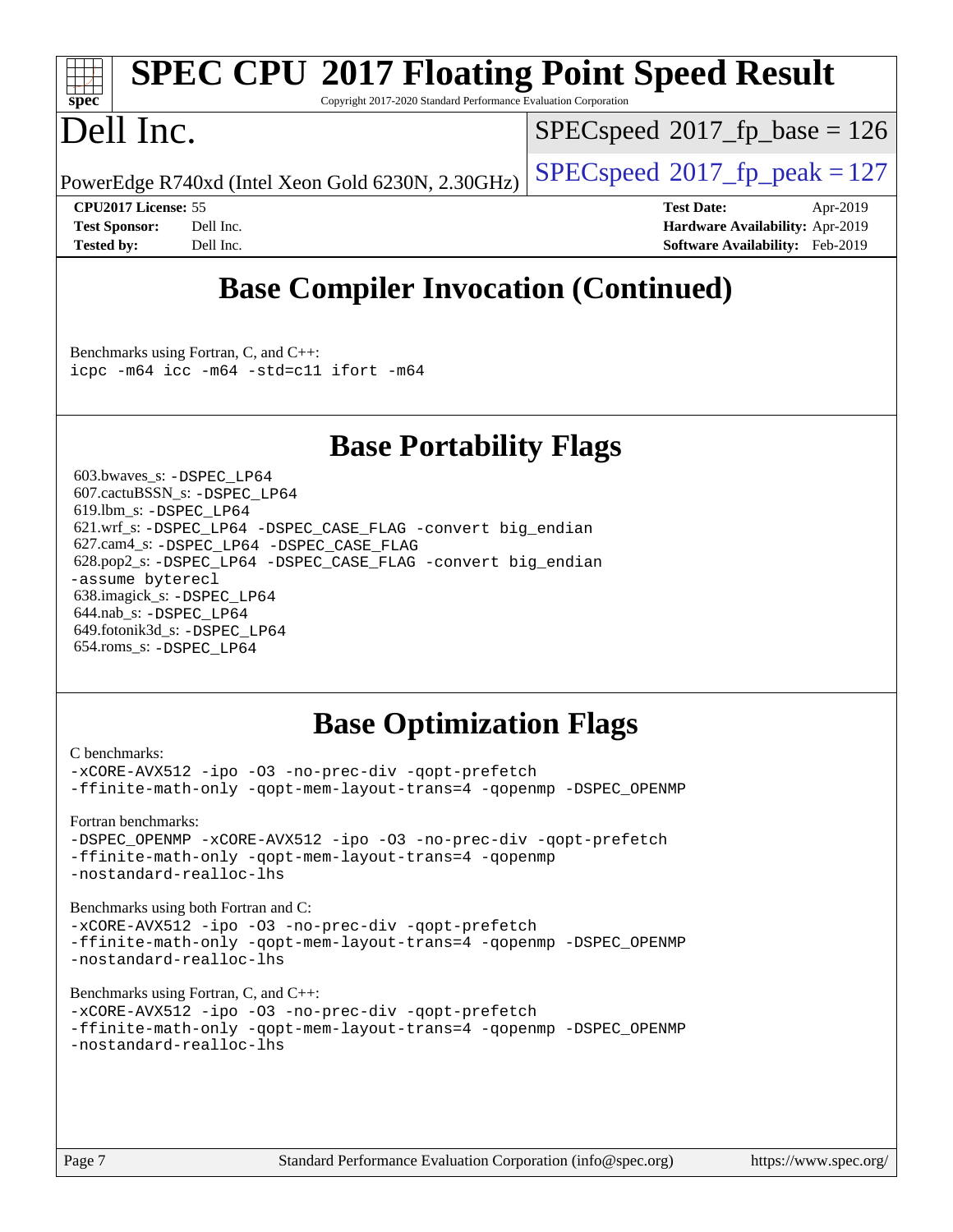## **[SPEC CPU](http://www.spec.org/auto/cpu2017/Docs/result-fields.html#SPECCPU2017FloatingPointSpeedResult)[2017 Floating Point Speed Result](http://www.spec.org/auto/cpu2017/Docs/result-fields.html#SPECCPU2017FloatingPointSpeedResult)**

Copyright 2017-2020 Standard Performance Evaluation Corporation

## Dell Inc.

**[spec](http://www.spec.org/)**

[SPECspeed](http://www.spec.org/auto/cpu2017/Docs/result-fields.html#SPECspeed2017fpbase)<sup>®</sup>2017 fp base = 126

PowerEdge R740xd (Intel Xeon Gold 6230N, 2.30GHz)  $\left|$  [SPECspeed](http://www.spec.org/auto/cpu2017/Docs/result-fields.html#SPECspeed2017fppeak)®[2017\\_fp\\_peak = 1](http://www.spec.org/auto/cpu2017/Docs/result-fields.html#SPECspeed2017fppeak)27

**[CPU2017 License:](http://www.spec.org/auto/cpu2017/Docs/result-fields.html#CPU2017License)** 55 **[Test Date:](http://www.spec.org/auto/cpu2017/Docs/result-fields.html#TestDate)** Apr-2019 **[Test Sponsor:](http://www.spec.org/auto/cpu2017/Docs/result-fields.html#TestSponsor)** Dell Inc. **[Hardware Availability:](http://www.spec.org/auto/cpu2017/Docs/result-fields.html#HardwareAvailability)** Apr-2019 **[Tested by:](http://www.spec.org/auto/cpu2017/Docs/result-fields.html#Testedby)** Dell Inc. **[Software Availability:](http://www.spec.org/auto/cpu2017/Docs/result-fields.html#SoftwareAvailability)** Feb-2019

## **[Base Compiler Invocation \(Continued\)](http://www.spec.org/auto/cpu2017/Docs/result-fields.html#BaseCompilerInvocation)**

[Benchmarks using Fortran, C, and C++:](http://www.spec.org/auto/cpu2017/Docs/result-fields.html#BenchmarksusingFortranCandCXX) [icpc -m64](http://www.spec.org/cpu2017/results/res2019q3/cpu2017-20190805-16535.flags.html#user_CC_CXX_FCbase_intel_icpc_64bit_4ecb2543ae3f1412ef961e0650ca070fec7b7afdcd6ed48761b84423119d1bf6bdf5cad15b44d48e7256388bc77273b966e5eb805aefd121eb22e9299b2ec9d9) [icc -m64 -std=c11](http://www.spec.org/cpu2017/results/res2019q3/cpu2017-20190805-16535.flags.html#user_CC_CXX_FCbase_intel_icc_64bit_c11_33ee0cdaae7deeeab2a9725423ba97205ce30f63b9926c2519791662299b76a0318f32ddfffdc46587804de3178b4f9328c46fa7c2b0cd779d7a61945c91cd35) [ifort -m64](http://www.spec.org/cpu2017/results/res2019q3/cpu2017-20190805-16535.flags.html#user_CC_CXX_FCbase_intel_ifort_64bit_24f2bb282fbaeffd6157abe4f878425411749daecae9a33200eee2bee2fe76f3b89351d69a8130dd5949958ce389cf37ff59a95e7a40d588e8d3a57e0c3fd751)

#### **[Base Portability Flags](http://www.spec.org/auto/cpu2017/Docs/result-fields.html#BasePortabilityFlags)**

 603.bwaves\_s: [-DSPEC\\_LP64](http://www.spec.org/cpu2017/results/res2019q3/cpu2017-20190805-16535.flags.html#suite_basePORTABILITY603_bwaves_s_DSPEC_LP64) 607.cactuBSSN\_s: [-DSPEC\\_LP64](http://www.spec.org/cpu2017/results/res2019q3/cpu2017-20190805-16535.flags.html#suite_basePORTABILITY607_cactuBSSN_s_DSPEC_LP64) 619.lbm\_s: [-DSPEC\\_LP64](http://www.spec.org/cpu2017/results/res2019q3/cpu2017-20190805-16535.flags.html#suite_basePORTABILITY619_lbm_s_DSPEC_LP64) 621.wrf\_s: [-DSPEC\\_LP64](http://www.spec.org/cpu2017/results/res2019q3/cpu2017-20190805-16535.flags.html#suite_basePORTABILITY621_wrf_s_DSPEC_LP64) [-DSPEC\\_CASE\\_FLAG](http://www.spec.org/cpu2017/results/res2019q3/cpu2017-20190805-16535.flags.html#b621.wrf_s_baseCPORTABILITY_DSPEC_CASE_FLAG) [-convert big\\_endian](http://www.spec.org/cpu2017/results/res2019q3/cpu2017-20190805-16535.flags.html#user_baseFPORTABILITY621_wrf_s_convert_big_endian_c3194028bc08c63ac5d04de18c48ce6d347e4e562e8892b8bdbdc0214820426deb8554edfa529a3fb25a586e65a3d812c835984020483e7e73212c4d31a38223) 627.cam4\_s: [-DSPEC\\_LP64](http://www.spec.org/cpu2017/results/res2019q3/cpu2017-20190805-16535.flags.html#suite_basePORTABILITY627_cam4_s_DSPEC_LP64) [-DSPEC\\_CASE\\_FLAG](http://www.spec.org/cpu2017/results/res2019q3/cpu2017-20190805-16535.flags.html#b627.cam4_s_baseCPORTABILITY_DSPEC_CASE_FLAG) 628.pop2\_s: [-DSPEC\\_LP64](http://www.spec.org/cpu2017/results/res2019q3/cpu2017-20190805-16535.flags.html#suite_basePORTABILITY628_pop2_s_DSPEC_LP64) [-DSPEC\\_CASE\\_FLAG](http://www.spec.org/cpu2017/results/res2019q3/cpu2017-20190805-16535.flags.html#b628.pop2_s_baseCPORTABILITY_DSPEC_CASE_FLAG) [-convert big\\_endian](http://www.spec.org/cpu2017/results/res2019q3/cpu2017-20190805-16535.flags.html#user_baseFPORTABILITY628_pop2_s_convert_big_endian_c3194028bc08c63ac5d04de18c48ce6d347e4e562e8892b8bdbdc0214820426deb8554edfa529a3fb25a586e65a3d812c835984020483e7e73212c4d31a38223) [-assume byterecl](http://www.spec.org/cpu2017/results/res2019q3/cpu2017-20190805-16535.flags.html#user_baseFPORTABILITY628_pop2_s_assume_byterecl_7e47d18b9513cf18525430bbf0f2177aa9bf368bc7a059c09b2c06a34b53bd3447c950d3f8d6c70e3faf3a05c8557d66a5798b567902e8849adc142926523472) 638.imagick\_s: [-DSPEC\\_LP64](http://www.spec.org/cpu2017/results/res2019q3/cpu2017-20190805-16535.flags.html#suite_basePORTABILITY638_imagick_s_DSPEC_LP64) 644.nab\_s: [-DSPEC\\_LP64](http://www.spec.org/cpu2017/results/res2019q3/cpu2017-20190805-16535.flags.html#suite_basePORTABILITY644_nab_s_DSPEC_LP64) 649.fotonik3d\_s: [-DSPEC\\_LP64](http://www.spec.org/cpu2017/results/res2019q3/cpu2017-20190805-16535.flags.html#suite_basePORTABILITY649_fotonik3d_s_DSPEC_LP64) 654.roms\_s: [-DSPEC\\_LP64](http://www.spec.org/cpu2017/results/res2019q3/cpu2017-20190805-16535.flags.html#suite_basePORTABILITY654_roms_s_DSPEC_LP64)

#### **[Base Optimization Flags](http://www.spec.org/auto/cpu2017/Docs/result-fields.html#BaseOptimizationFlags)**

[C benchmarks](http://www.spec.org/auto/cpu2017/Docs/result-fields.html#Cbenchmarks):

[-xCORE-AVX512](http://www.spec.org/cpu2017/results/res2019q3/cpu2017-20190805-16535.flags.html#user_CCbase_f-xCORE-AVX512) [-ipo](http://www.spec.org/cpu2017/results/res2019q3/cpu2017-20190805-16535.flags.html#user_CCbase_f-ipo) [-O3](http://www.spec.org/cpu2017/results/res2019q3/cpu2017-20190805-16535.flags.html#user_CCbase_f-O3) [-no-prec-div](http://www.spec.org/cpu2017/results/res2019q3/cpu2017-20190805-16535.flags.html#user_CCbase_f-no-prec-div) [-qopt-prefetch](http://www.spec.org/cpu2017/results/res2019q3/cpu2017-20190805-16535.flags.html#user_CCbase_f-qopt-prefetch) [-ffinite-math-only](http://www.spec.org/cpu2017/results/res2019q3/cpu2017-20190805-16535.flags.html#user_CCbase_f_finite_math_only_cb91587bd2077682c4b38af759c288ed7c732db004271a9512da14a4f8007909a5f1427ecbf1a0fb78ff2a814402c6114ac565ca162485bbcae155b5e4258871) [-qopt-mem-layout-trans=4](http://www.spec.org/cpu2017/results/res2019q3/cpu2017-20190805-16535.flags.html#user_CCbase_f-qopt-mem-layout-trans_fa39e755916c150a61361b7846f310bcdf6f04e385ef281cadf3647acec3f0ae266d1a1d22d972a7087a248fd4e6ca390a3634700869573d231a252c784941a8) [-qopenmp](http://www.spec.org/cpu2017/results/res2019q3/cpu2017-20190805-16535.flags.html#user_CCbase_qopenmp_16be0c44f24f464004c6784a7acb94aca937f053568ce72f94b139a11c7c168634a55f6653758ddd83bcf7b8463e8028bb0b48b77bcddc6b78d5d95bb1df2967) [-DSPEC\\_OPENMP](http://www.spec.org/cpu2017/results/res2019q3/cpu2017-20190805-16535.flags.html#suite_CCbase_DSPEC_OPENMP)

[Fortran benchmarks](http://www.spec.org/auto/cpu2017/Docs/result-fields.html#Fortranbenchmarks): [-DSPEC\\_OPENMP](http://www.spec.org/cpu2017/results/res2019q3/cpu2017-20190805-16535.flags.html#suite_FCbase_DSPEC_OPENMP) [-xCORE-AVX512](http://www.spec.org/cpu2017/results/res2019q3/cpu2017-20190805-16535.flags.html#user_FCbase_f-xCORE-AVX512) [-ipo](http://www.spec.org/cpu2017/results/res2019q3/cpu2017-20190805-16535.flags.html#user_FCbase_f-ipo) [-O3](http://www.spec.org/cpu2017/results/res2019q3/cpu2017-20190805-16535.flags.html#user_FCbase_f-O3) [-no-prec-div](http://www.spec.org/cpu2017/results/res2019q3/cpu2017-20190805-16535.flags.html#user_FCbase_f-no-prec-div) [-qopt-prefetch](http://www.spec.org/cpu2017/results/res2019q3/cpu2017-20190805-16535.flags.html#user_FCbase_f-qopt-prefetch) [-ffinite-math-only](http://www.spec.org/cpu2017/results/res2019q3/cpu2017-20190805-16535.flags.html#user_FCbase_f_finite_math_only_cb91587bd2077682c4b38af759c288ed7c732db004271a9512da14a4f8007909a5f1427ecbf1a0fb78ff2a814402c6114ac565ca162485bbcae155b5e4258871) [-qopt-mem-layout-trans=4](http://www.spec.org/cpu2017/results/res2019q3/cpu2017-20190805-16535.flags.html#user_FCbase_f-qopt-mem-layout-trans_fa39e755916c150a61361b7846f310bcdf6f04e385ef281cadf3647acec3f0ae266d1a1d22d972a7087a248fd4e6ca390a3634700869573d231a252c784941a8) [-qopenmp](http://www.spec.org/cpu2017/results/res2019q3/cpu2017-20190805-16535.flags.html#user_FCbase_qopenmp_16be0c44f24f464004c6784a7acb94aca937f053568ce72f94b139a11c7c168634a55f6653758ddd83bcf7b8463e8028bb0b48b77bcddc6b78d5d95bb1df2967) [-nostandard-realloc-lhs](http://www.spec.org/cpu2017/results/res2019q3/cpu2017-20190805-16535.flags.html#user_FCbase_f_2003_std_realloc_82b4557e90729c0f113870c07e44d33d6f5a304b4f63d4c15d2d0f1fab99f5daaed73bdb9275d9ae411527f28b936061aa8b9c8f2d63842963b95c9dd6426b8a)

[Benchmarks using both Fortran and C](http://www.spec.org/auto/cpu2017/Docs/result-fields.html#BenchmarksusingbothFortranandC):

[-xCORE-AVX512](http://www.spec.org/cpu2017/results/res2019q3/cpu2017-20190805-16535.flags.html#user_CC_FCbase_f-xCORE-AVX512) [-ipo](http://www.spec.org/cpu2017/results/res2019q3/cpu2017-20190805-16535.flags.html#user_CC_FCbase_f-ipo) [-O3](http://www.spec.org/cpu2017/results/res2019q3/cpu2017-20190805-16535.flags.html#user_CC_FCbase_f-O3) [-no-prec-div](http://www.spec.org/cpu2017/results/res2019q3/cpu2017-20190805-16535.flags.html#user_CC_FCbase_f-no-prec-div) [-qopt-prefetch](http://www.spec.org/cpu2017/results/res2019q3/cpu2017-20190805-16535.flags.html#user_CC_FCbase_f-qopt-prefetch) [-ffinite-math-only](http://www.spec.org/cpu2017/results/res2019q3/cpu2017-20190805-16535.flags.html#user_CC_FCbase_f_finite_math_only_cb91587bd2077682c4b38af759c288ed7c732db004271a9512da14a4f8007909a5f1427ecbf1a0fb78ff2a814402c6114ac565ca162485bbcae155b5e4258871) [-qopt-mem-layout-trans=4](http://www.spec.org/cpu2017/results/res2019q3/cpu2017-20190805-16535.flags.html#user_CC_FCbase_f-qopt-mem-layout-trans_fa39e755916c150a61361b7846f310bcdf6f04e385ef281cadf3647acec3f0ae266d1a1d22d972a7087a248fd4e6ca390a3634700869573d231a252c784941a8) [-qopenmp](http://www.spec.org/cpu2017/results/res2019q3/cpu2017-20190805-16535.flags.html#user_CC_FCbase_qopenmp_16be0c44f24f464004c6784a7acb94aca937f053568ce72f94b139a11c7c168634a55f6653758ddd83bcf7b8463e8028bb0b48b77bcddc6b78d5d95bb1df2967) [-DSPEC\\_OPENMP](http://www.spec.org/cpu2017/results/res2019q3/cpu2017-20190805-16535.flags.html#suite_CC_FCbase_DSPEC_OPENMP) [-nostandard-realloc-lhs](http://www.spec.org/cpu2017/results/res2019q3/cpu2017-20190805-16535.flags.html#user_CC_FCbase_f_2003_std_realloc_82b4557e90729c0f113870c07e44d33d6f5a304b4f63d4c15d2d0f1fab99f5daaed73bdb9275d9ae411527f28b936061aa8b9c8f2d63842963b95c9dd6426b8a)

[Benchmarks using Fortran, C, and C++:](http://www.spec.org/auto/cpu2017/Docs/result-fields.html#BenchmarksusingFortranCandCXX)

|                         | -xCORE-AVX512 -ipo -03 -no-prec-div -qopt-prefetch                 |  |
|-------------------------|--------------------------------------------------------------------|--|
|                         | -ffinite-math-only -qopt-mem-layout-trans=4 -qopenmp -DSPEC OPENMP |  |
| -nostandard-realloc-lhs |                                                                    |  |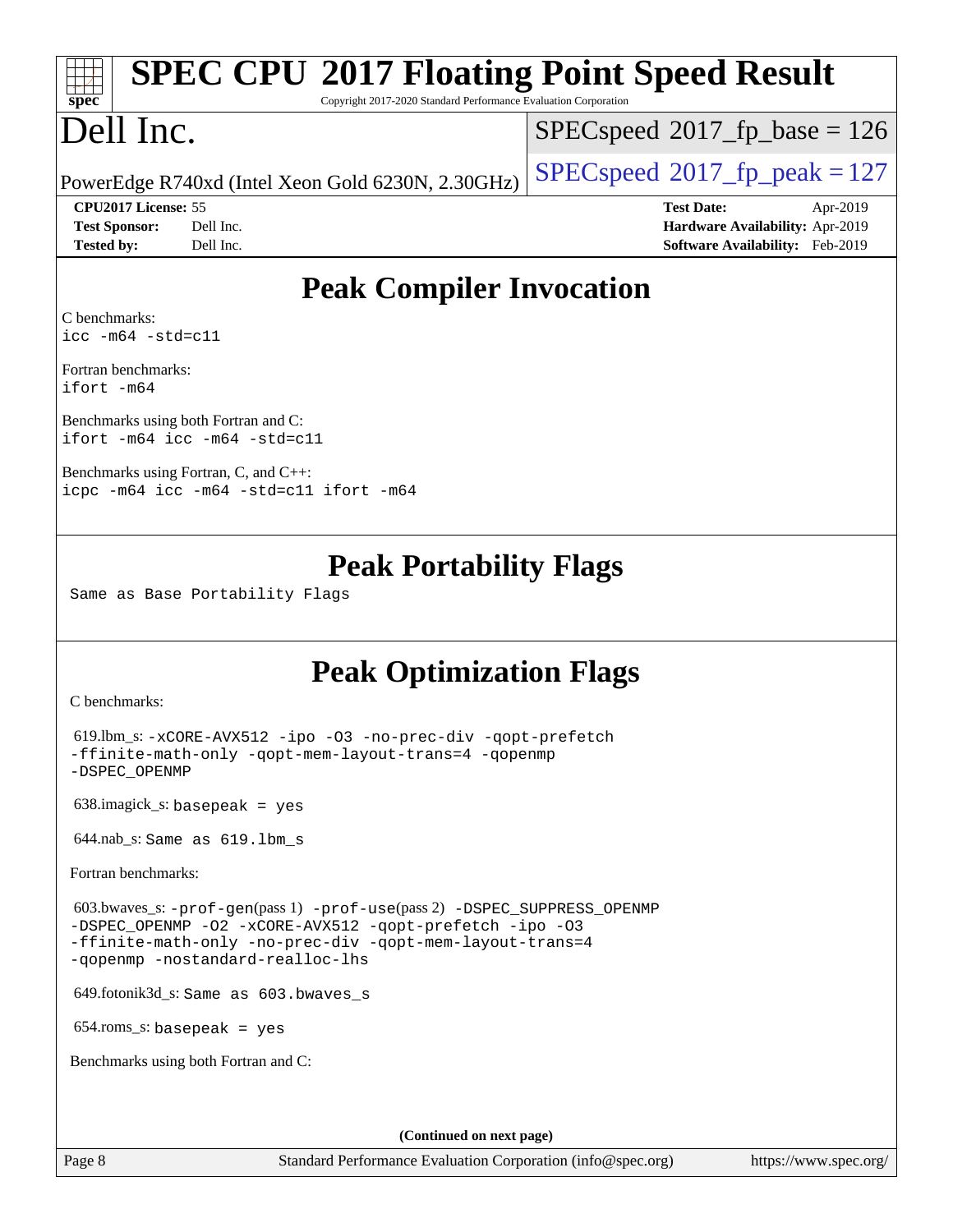|                                              | <b>EXAMPLE SPEC CPU®2017 Floating Point Speed Result</b>        |
|----------------------------------------------|-----------------------------------------------------------------|
| $\mathbf{S}\mathbf{D}\mathbf{e}\mathbf{C}^*$ | Copyright 2017-2020 Standard Performance Evaluation Corporation |

Copyright 2017-2020 Standard Performance Evaluation Corporation

## ell Inc.

 $SPECspeed*2017_fp\_base = 126$  $SPECspeed*2017_fp\_base = 126$ 

PowerEdge R740xd (Intel Xeon Gold 6230N, 2.30GHz)  $\left|$  [SPECspeed](http://www.spec.org/auto/cpu2017/Docs/result-fields.html#SPECspeed2017fppeak)®[2017\\_fp\\_peak = 1](http://www.spec.org/auto/cpu2017/Docs/result-fields.html#SPECspeed2017fppeak)27

**[CPU2017 License:](http://www.spec.org/auto/cpu2017/Docs/result-fields.html#CPU2017License)** 55 **[Test Date:](http://www.spec.org/auto/cpu2017/Docs/result-fields.html#TestDate)** Apr-2019 **[Test Sponsor:](http://www.spec.org/auto/cpu2017/Docs/result-fields.html#TestSponsor)** Dell Inc. **[Hardware Availability:](http://www.spec.org/auto/cpu2017/Docs/result-fields.html#HardwareAvailability)** Apr-2019 **[Tested by:](http://www.spec.org/auto/cpu2017/Docs/result-fields.html#Testedby)** Dell Inc. **[Software Availability:](http://www.spec.org/auto/cpu2017/Docs/result-fields.html#SoftwareAvailability)** Feb-2019

#### **[Peak Compiler Invocation](http://www.spec.org/auto/cpu2017/Docs/result-fields.html#PeakCompilerInvocation)**

[C benchmarks](http://www.spec.org/auto/cpu2017/Docs/result-fields.html#Cbenchmarks): [icc -m64 -std=c11](http://www.spec.org/cpu2017/results/res2019q3/cpu2017-20190805-16535.flags.html#user_CCpeak_intel_icc_64bit_c11_33ee0cdaae7deeeab2a9725423ba97205ce30f63b9926c2519791662299b76a0318f32ddfffdc46587804de3178b4f9328c46fa7c2b0cd779d7a61945c91cd35)

[Fortran benchmarks](http://www.spec.org/auto/cpu2017/Docs/result-fields.html#Fortranbenchmarks): [ifort -m64](http://www.spec.org/cpu2017/results/res2019q3/cpu2017-20190805-16535.flags.html#user_FCpeak_intel_ifort_64bit_24f2bb282fbaeffd6157abe4f878425411749daecae9a33200eee2bee2fe76f3b89351d69a8130dd5949958ce389cf37ff59a95e7a40d588e8d3a57e0c3fd751)

[Benchmarks using both Fortran and C](http://www.spec.org/auto/cpu2017/Docs/result-fields.html#BenchmarksusingbothFortranandC): [ifort -m64](http://www.spec.org/cpu2017/results/res2019q3/cpu2017-20190805-16535.flags.html#user_CC_FCpeak_intel_ifort_64bit_24f2bb282fbaeffd6157abe4f878425411749daecae9a33200eee2bee2fe76f3b89351d69a8130dd5949958ce389cf37ff59a95e7a40d588e8d3a57e0c3fd751) [icc -m64 -std=c11](http://www.spec.org/cpu2017/results/res2019q3/cpu2017-20190805-16535.flags.html#user_CC_FCpeak_intel_icc_64bit_c11_33ee0cdaae7deeeab2a9725423ba97205ce30f63b9926c2519791662299b76a0318f32ddfffdc46587804de3178b4f9328c46fa7c2b0cd779d7a61945c91cd35)

[Benchmarks using Fortran, C, and C++](http://www.spec.org/auto/cpu2017/Docs/result-fields.html#BenchmarksusingFortranCandCXX): [icpc -m64](http://www.spec.org/cpu2017/results/res2019q3/cpu2017-20190805-16535.flags.html#user_CC_CXX_FCpeak_intel_icpc_64bit_4ecb2543ae3f1412ef961e0650ca070fec7b7afdcd6ed48761b84423119d1bf6bdf5cad15b44d48e7256388bc77273b966e5eb805aefd121eb22e9299b2ec9d9) [icc -m64 -std=c11](http://www.spec.org/cpu2017/results/res2019q3/cpu2017-20190805-16535.flags.html#user_CC_CXX_FCpeak_intel_icc_64bit_c11_33ee0cdaae7deeeab2a9725423ba97205ce30f63b9926c2519791662299b76a0318f32ddfffdc46587804de3178b4f9328c46fa7c2b0cd779d7a61945c91cd35) [ifort -m64](http://www.spec.org/cpu2017/results/res2019q3/cpu2017-20190805-16535.flags.html#user_CC_CXX_FCpeak_intel_ifort_64bit_24f2bb282fbaeffd6157abe4f878425411749daecae9a33200eee2bee2fe76f3b89351d69a8130dd5949958ce389cf37ff59a95e7a40d588e8d3a57e0c3fd751)

#### **[Peak Portability Flags](http://www.spec.org/auto/cpu2017/Docs/result-fields.html#PeakPortabilityFlags)**

Same as Base Portability Flags

### **[Peak Optimization Flags](http://www.spec.org/auto/cpu2017/Docs/result-fields.html#PeakOptimizationFlags)**

[C benchmarks](http://www.spec.org/auto/cpu2017/Docs/result-fields.html#Cbenchmarks):

```
 619.lbm_s: -xCORE-AVX512 -ipo -O3 -no-prec-div -qopt-prefetch
-ffinite-math-only -qopt-mem-layout-trans=4 -qopenmp
-DSPEC_OPENMP
 638.imagick_s: basepeak = yes
```
644.nab\_s: Same as 619.lbm\_s

[Fortran benchmarks](http://www.spec.org/auto/cpu2017/Docs/result-fields.html#Fortranbenchmarks):

 603.bwaves\_s: [-prof-gen](http://www.spec.org/cpu2017/results/res2019q3/cpu2017-20190805-16535.flags.html#user_peakPASS1_FFLAGSPASS1_LDFLAGS603_bwaves_s_prof_gen_5aa4926d6013ddb2a31985c654b3eb18169fc0c6952a63635c234f711e6e63dd76e94ad52365559451ec499a2cdb89e4dc58ba4c67ef54ca681ffbe1461d6b36)(pass 1) [-prof-use](http://www.spec.org/cpu2017/results/res2019q3/cpu2017-20190805-16535.flags.html#user_peakPASS2_FFLAGSPASS2_LDFLAGS603_bwaves_s_prof_use_1a21ceae95f36a2b53c25747139a6c16ca95bd9def2a207b4f0849963b97e94f5260e30a0c64f4bb623698870e679ca08317ef8150905d41bd88c6f78df73f19)(pass 2) [-DSPEC\\_SUPPRESS\\_OPENMP](http://www.spec.org/cpu2017/results/res2019q3/cpu2017-20190805-16535.flags.html#suite_peakPASS1_FOPTIMIZE603_bwaves_s_DSPEC_SUPPRESS_OPENMP) [-DSPEC\\_OPENMP](http://www.spec.org/cpu2017/results/res2019q3/cpu2017-20190805-16535.flags.html#suite_peakPASS2_FOPTIMIZE603_bwaves_s_DSPEC_OPENMP) [-O2](http://www.spec.org/cpu2017/results/res2019q3/cpu2017-20190805-16535.flags.html#user_peakPASS1_FOPTIMIZE603_bwaves_s_f-O2) [-xCORE-AVX512](http://www.spec.org/cpu2017/results/res2019q3/cpu2017-20190805-16535.flags.html#user_peakPASS2_FOPTIMIZE603_bwaves_s_f-xCORE-AVX512) [-qopt-prefetch](http://www.spec.org/cpu2017/results/res2019q3/cpu2017-20190805-16535.flags.html#user_peakPASS1_FOPTIMIZEPASS2_FOPTIMIZE603_bwaves_s_f-qopt-prefetch) [-ipo](http://www.spec.org/cpu2017/results/res2019q3/cpu2017-20190805-16535.flags.html#user_peakPASS2_FOPTIMIZE603_bwaves_s_f-ipo) [-O3](http://www.spec.org/cpu2017/results/res2019q3/cpu2017-20190805-16535.flags.html#user_peakPASS2_FOPTIMIZE603_bwaves_s_f-O3) [-ffinite-math-only](http://www.spec.org/cpu2017/results/res2019q3/cpu2017-20190805-16535.flags.html#user_peakPASS1_FOPTIMIZEPASS2_FOPTIMIZE603_bwaves_s_f_finite_math_only_cb91587bd2077682c4b38af759c288ed7c732db004271a9512da14a4f8007909a5f1427ecbf1a0fb78ff2a814402c6114ac565ca162485bbcae155b5e4258871) [-no-prec-div](http://www.spec.org/cpu2017/results/res2019q3/cpu2017-20190805-16535.flags.html#user_peakPASS2_FOPTIMIZE603_bwaves_s_f-no-prec-div) [-qopt-mem-layout-trans=4](http://www.spec.org/cpu2017/results/res2019q3/cpu2017-20190805-16535.flags.html#user_peakPASS1_FOPTIMIZEPASS2_FOPTIMIZE603_bwaves_s_f-qopt-mem-layout-trans_fa39e755916c150a61361b7846f310bcdf6f04e385ef281cadf3647acec3f0ae266d1a1d22d972a7087a248fd4e6ca390a3634700869573d231a252c784941a8) [-qopenmp](http://www.spec.org/cpu2017/results/res2019q3/cpu2017-20190805-16535.flags.html#user_peakPASS2_FOPTIMIZE603_bwaves_s_qopenmp_16be0c44f24f464004c6784a7acb94aca937f053568ce72f94b139a11c7c168634a55f6653758ddd83bcf7b8463e8028bb0b48b77bcddc6b78d5d95bb1df2967) [-nostandard-realloc-lhs](http://www.spec.org/cpu2017/results/res2019q3/cpu2017-20190805-16535.flags.html#user_peakEXTRA_FOPTIMIZE603_bwaves_s_f_2003_std_realloc_82b4557e90729c0f113870c07e44d33d6f5a304b4f63d4c15d2d0f1fab99f5daaed73bdb9275d9ae411527f28b936061aa8b9c8f2d63842963b95c9dd6426b8a)

649.fotonik3d\_s: Same as 603.bwaves\_s

654.roms\_s: basepeak = yes

[Benchmarks using both Fortran and C](http://www.spec.org/auto/cpu2017/Docs/result-fields.html#BenchmarksusingbothFortranandC):

**(Continued on next page)**